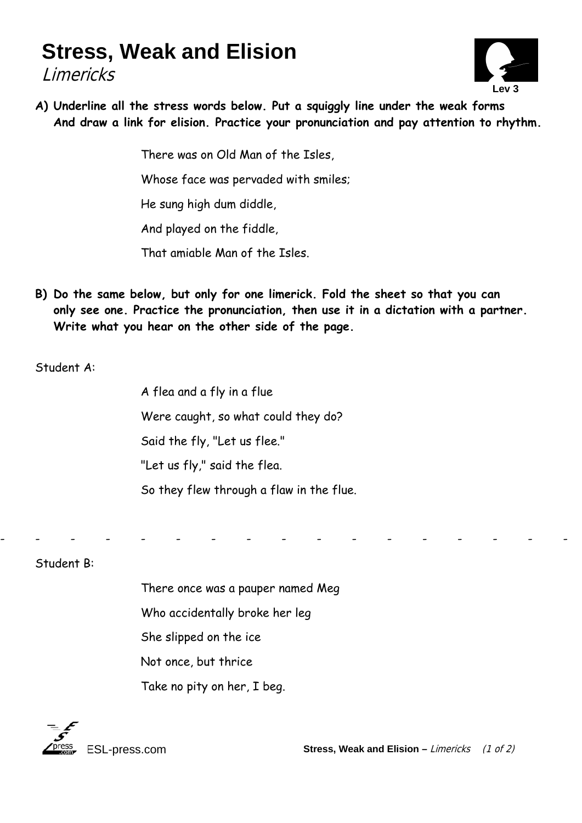## **Stress, Weak and Elision**

Limericks



**A) Underline all the stress words below. Put a squiggly line under the weak forms And draw a link for elision. Practice your pronunciation and pay attention to rhythm.** 

There was on Old Man of the Isles,

Whose face was pervaded with smiles;

He sung high dum diddle,

And played on the fiddle,

That amiable Man of the Isles.

**B) Do the same below, but only for one limerick. Fold the sheet so that you can only see one. Practice the pronunciation, then use it in a dictation with a partner. Write what you hear on the other side of the page.** 

- - - - - - - - - - - - - - - - -

Student A:

A flea and a fly in a flue Were caught, so what could they do? Said the fly, "Let us flee." "Let us fly," said the flea. So they flew through a flaw in the flue.

Student B:

 There once was a pauper named Meg Who accidentally broke her leg She slipped on the ice Not once, but thrice Take no pity on her, I beg.